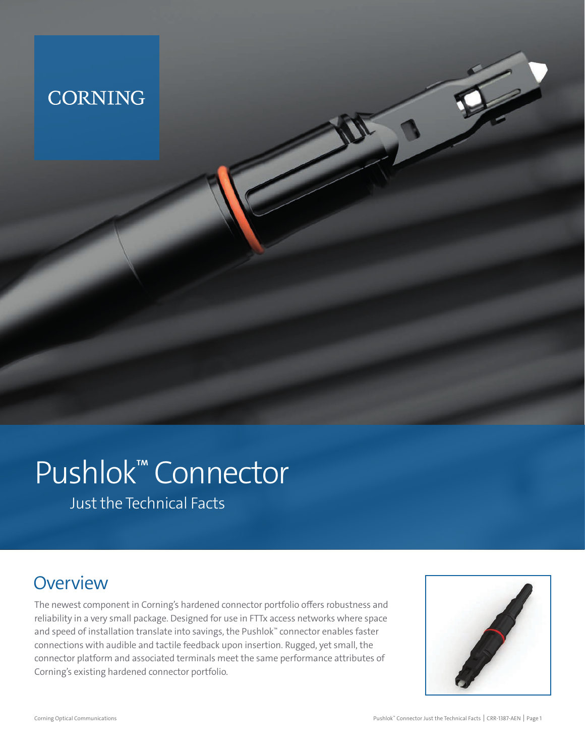## **CORNING**

# Pushlok™ Connector

Just the Technical Facts

## **Overview**

The newest component in Corning's hardened connector portfolio offers robustness and reliability in a very small package. Designed for use in FTTx access networks where space and speed of installation translate into savings, the Pushlok™ connector enables faster connections with audible and tactile feedback upon insertion. Rugged, yet small, the connector platform and associated terminals meet the same performance attributes of Corning's existing hardened connector portfolio.